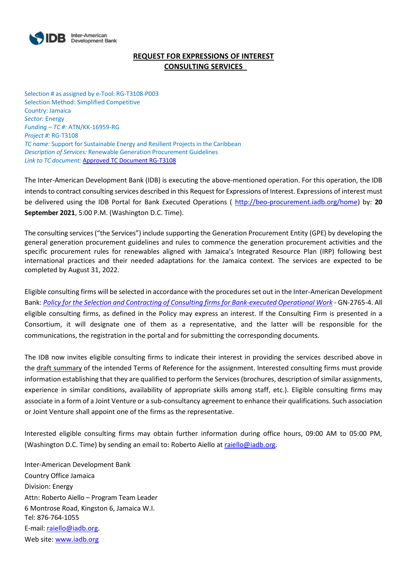

# **REQUEST FOR EXPRESSIONS OF INTEREST CONSULTING SERVICES**

Selection # as assigned by e-Tool: RG-T3108-P003 Selection Method: Simplified Competitive Country: Jamaica *Sector:* Energy *Funding – TC #:* ATN/KK-16959-RG *Project #:* RG-T3108 *TC name:* Support for Sustainable Energy and Resilient Projects in the Caribbean *Description of Services:* Renewable Generation Procurement Guidelines *Link to TC document:* [Approved TC Document RG-T3108](https://www.iadb.org/projects/document/EZSHARE-601271439-3?project=RG-T3108)

The Inter-American Development Bank (IDB) is executing the above-mentioned operation. For this operation, the IDB intends to contract consulting services described in this Request for Expressions of Interest. Expressions of interest must be delivered using the IDB Portal for Bank Executed Operations ( [http://beo-procurement.iadb.org/home\)](http://beo-procurement.iadb.org/home) by: **20 September 2021**, 5:00 P.M. (Washington D.C. Time).

The consulting services ("the Services") include supporting the Generation Procurement Entity (GPE) by developing the general generation procurement guidelines and rules to commence the generation procurement activities and the specific procurement rules for renewables aligned with Jamaica's Integrated Resource Plan (IRP) following best international practices and their needed adaptations for the Jamaica context. The services are expected to be completed by August 31, 2022.

Eligible consulting firms will be selected in accordance with the procedures set out in the Inter-American Development Bank: *[Policy for the Selection and Contracting of Consulting firms for Bank-executed Operational Work](http://idbdocs.iadb.org/wsdocs/getdocument.aspx?DOCNUM=38988574)* - GN-2765-4. All eligible consulting firms, as defined in the Policy may express an interest. If the Consulting Firm is presented in a Consortium, it will designate one of them as a representative, and the latter will be responsible for the communications, the registration in the portal and for submitting the corresponding documents.

The IDB now invites eligible consulting firms to indicate their interest in providing the services described above in the draft summary of the intended Terms of Reference for the assignment. Interested consulting firms must provide information establishing that they are qualified to perform the Services (brochures, description of similar assignments, experience in similar conditions, availability of appropriate skills among staff, etc.). Eligible consulting firms may associate in a form of a Joint Venture or a sub-consultancy agreement to enhance their qualifications. Such association or Joint Venture shall appoint one of the firms as the representative.

Interested eligible consulting firms may obtain further information during office hours, 09:00 AM to 05:00 PM, (Washington D.C. Time) by sending an email to: Roberto Aiello at [raiello@iadb.org.](mailto:raiello@iadb.org)

Inter-American Development Bank Country Office Jamaica Division: Energy Attn: Roberto Aiello – Program Team Leader 6 Montrose Road, Kingston 6, Jamaica W.I. Tel: 876-764-1055 E-mail: [raiello@iadb.org.](mailto:raiello@iadb.org) Web site: [www.iadb.org](http://www.iadb.org/)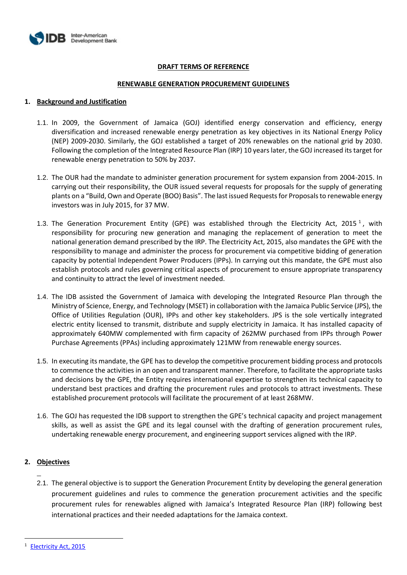

### **DRAFT TERMS OF REFERENCE**

#### **RENEWABLE GENERATION PROCUREMENT GUIDELINES**

#### **1. Background and Justification**

- 1.1. In 2009, the Government of Jamaica (GOJ) identified energy conservation and efficiency, energy diversification and increased renewable energy penetration as key objectives in its National Energy Policy (NEP) 2009-2030. Similarly, the GOJ established a target of 20% renewables on the national grid by 2030. Following the completion of the Integrated Resource Plan (IRP) 10 years later, the GOJ increased its target for renewable energy penetration to 50% by 2037.
- 1.2. The OUR had the mandate to administer generation procurement for system expansion from 2004-2015. In carrying out their responsibility, the OUR issued several requests for proposals for the supply of generating plants on a "Build, Own and Operate (BOO) Basis". The last issued Requests for Proposals to renewable energy investors was in July 2015, for 37 MW.
- 1.3. The Generation Procurement Entity (GPE) was established through the Electricity Act, 2015<sup>1</sup>, with responsibility for procuring new generation and managing the replacement of generation to meet the national generation demand prescribed by the IRP. The Electricity Act, 2015, also mandates the GPE with the responsibility to manage and administer the process for procurement via competitive bidding of generation capacity by potential Independent Power Producers (IPPs). In carrying out this mandate, the GPE must also establish protocols and rules governing critical aspects of procurement to ensure appropriate transparency and continuity to attract the level of investment needed.
- 1.4. The IDB assisted the Government of Jamaica with developing the Integrated Resource Plan through the Ministry of Science, Energy, and Technology (MSET) in collaboration with the Jamaica Public Service (JPS), the Office of Utilities Regulation (OUR), IPPs and other key stakeholders. JPS is the sole vertically integrated electric entity licensed to transmit, distribute and supply electricity in Jamaica. It has installed capacity of approximately 640MW complemented with firm capacity of 262MW purchased from IPPs through Power Purchase Agreements (PPAs) including approximately 121MW from renewable energy sources.
- 1.5. In executing its mandate, the GPE has to develop the competitive procurement bidding process and protocols to commence the activities in an open and transparent manner. Therefore, to facilitate the appropriate tasks and decisions by the GPE, the Entity requires international expertise to strengthen its technical capacity to understand best practices and drafting the procurement rules and protocols to attract investments. These established procurement protocols will facilitate the procurement of at least 268MW.
- 1.6. The GOJ has requested the IDB support to strengthen the GPE's technical capacity and project management skills, as well as assist the GPE and its legal counsel with the drafting of generation procurement rules, undertaking renewable energy procurement, and engineering support services aligned with the IRP.

## **2. Objectives**

2.1. The general objective is to support the Generation Procurement Entity by developing the general generation procurement guidelines and rules to commence the generation procurement activities and the specific procurement rules for renewables aligned with Jamaica's Integrated Resource Plan (IRP) following best international practices and their needed adaptations for the Jamaica context.

**[Electricity Act, 2015](about:blank)**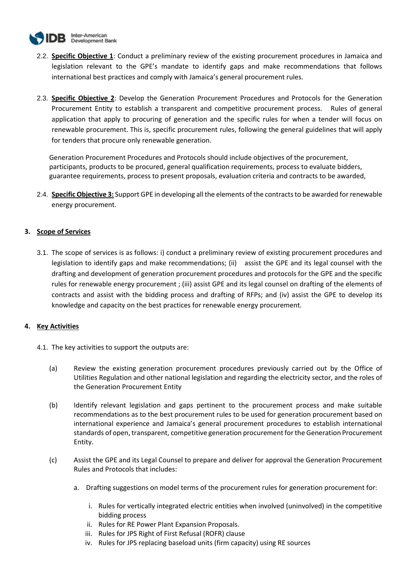

- 2.2. **Specific Objective 1**: Conduct a preliminary review of the existing procurement procedures in Jamaica and legislation relevant to the GPE's mandate to identify gaps and make recommendations that follows international best practices and comply with Jamaica's general procurement rules.
- 2.3. **Specific Objective 2**: Develop the Generation Procurement Procedures and Protocols for the Generation Procurement Entity to establish a transparent and competitive procurement process. Rules of general application that apply to procuring of generation and the specific rules for when a tender will focus on renewable procurement. This is, specific procurement rules, following the general guidelines that will apply for tenders that procure only renewable generation.

Generation Procurement Procedures and Protocols should include objectives of the procurement, participants, products to be procured, general qualification requirements, process to evaluate bidders, guarantee requirements, process to present proposals, evaluation criteria and contracts to be awarded,

2.4. **Specific Objective 3:** Support GPE in developing all the elements of the contracts to be awarded for renewable energy procurement.

## **3. Scope of Services**

3.1. The scope of services is as follows: i) conduct a preliminary review of existing procurement procedures and legislation to identify gaps and make recommendations; (ii) assist the GPE and its legal counsel with the drafting and development of generation procurement procedures and protocols for the GPE and the specific rules for renewable energy procurement ; (iii) assist GPE and its legal counsel on drafting of the elements of contracts and assist with the bidding process and drafting of RFPs; and (iv) assist the GPE to develop its knowledge and capacity on the best practices for renewable energy procurement.

## **4. Key Activities**

- 4.1. The key activities to support the outputs are:
	- (a) Review the existing generation procurement procedures previously carried out by the Office of Utilities Regulation and other national legislation and regarding the electricity sector, and the roles of the Generation Procurement Entity
	- (b) Identify relevant legislation and gaps pertinent to the procurement process and make suitable recommendations as to the best procurement rules to be used for generation procurement based on international experience and Jamaica's general procurement procedures to establish international standards of open, transparent, competitive generation procurement for the Generation Procurement Entity.
	- (c) Assist the GPE and its Legal Counsel to prepare and deliver for approval the Generation Procurement Rules and Protocols that includes:
		- a. Drafting suggestions on model terms of the procurement rules for generation procurement for:
			- i. Rules for vertically integrated electric entities when involved (uninvolved) in the competitive bidding process
			- ii. Rules for RE Power Plant Expansion Proposals.
			- iii. Rules for JPS Right of First Refusal (ROFR) clause
			- iv. Rules for JPS replacing baseload units (firm capacity) using RE sources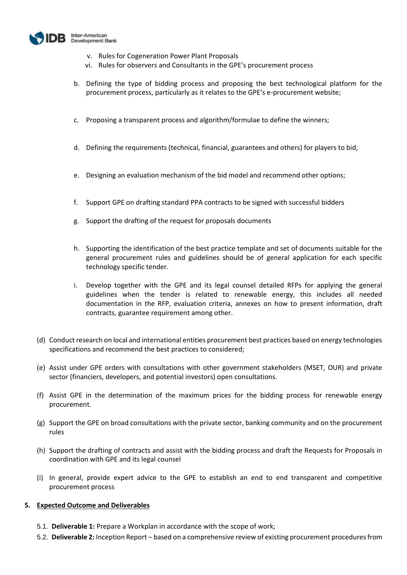

- v. Rules for Cogeneration Power Plant Proposals
- vi. Rules for observers and Consultants in the GPE's procurement process
- b. Defining the type of bidding process and proposing the best technological platform for the procurement process, particularly as it relates to the GPE's e-procurement website;
- c. Proposing a transparent process and algorithm/formulae to define the winners;
- d. Defining the requirements (technical, financial, guarantees and others) for players to bid;
- e. Designing an evaluation mechanism of the bid model and recommend other options;
- f. Support GPE on drafting standard PPA contracts to be signed with successful bidders
- g. Support the drafting of the request for proposals documents
- h. Supporting the identification of the best practice template and set of documents suitable for the general procurement rules and guidelines should be of general application for each specific technology specific tender.
- Develop together with the GPE and its legal counsel detailed RFPs for applying the general guidelines when the tender is related to renewable energy, this includes all needed documentation in the RFP, evaluation criteria, annexes on how to present information, draft contracts, guarantee requirement among other.
- (d) Conduct research on local and international entities procurement best practices based on energy technologies specifications and recommend the best practices to considered;
- (e) Assist under GPE orders with consultations with other government stakeholders (MSET, OUR) and private sector (financiers, developers, and potential investors) open consultations.
- (f) Assist GPE in the determination of the maximum prices for the bidding process for renewable energy procurement.
- (g) Support the GPE on broad consultations with the private sector, banking community and on the procurement rules
- (h) Support the drafting of contracts and assist with the bidding process and draft the Requests for Proposals in coordination with GPE and its legal counsel
- (i) In general, provide expert advice to the GPE to establish an end to end transparent and competitive procurement process

#### **5. Expected Outcome and Deliverables**

- 5.1. **Deliverable 1:** Prepare a Workplan in accordance with the scope of work;
- 5.2. **Deliverable 2:** Inception Report based on a comprehensive review of existing procurement procedures from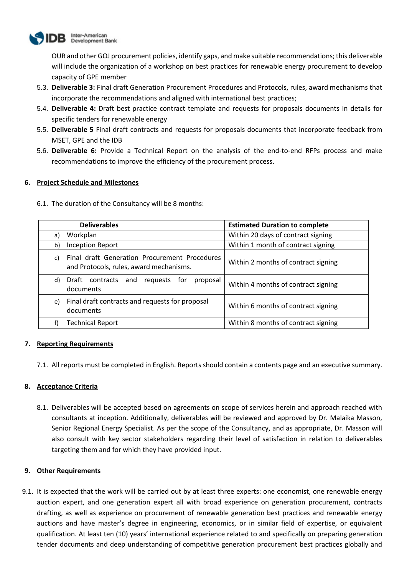

OUR and other GOJ procurement policies, identify gaps, and make suitable recommendations; this deliverable will include the organization of a workshop on best practices for renewable energy procurement to develop capacity of GPE member

- 5.3. **Deliverable 3:** Final draft Generation Procurement Procedures and Protocols, rules, award mechanisms that incorporate the recommendations and aligned with international best practices;
- 5.4. **Deliverable 4:** Draft best practice contract template and requests for proposals documents in details for specific tenders for renewable energy
- 5.5. **Deliverable 5** Final draft contracts and requests for proposals documents that incorporate feedback from MSET, GPE and the IDB
- 5.6. **Deliverable 6:** Provide a Technical Report on the analysis of the end-to-end RFPs process and make recommendations to improve the efficiency of the procurement process.

## **6. Project Schedule and Milestones**

6.1. The duration of the Consultancy will be 8 months:

| <b>Deliverables</b>                                                                            | <b>Estimated Duration to complete</b> |  |
|------------------------------------------------------------------------------------------------|---------------------------------------|--|
| Workplan<br>a)                                                                                 | Within 20 days of contract signing    |  |
| <b>Inception Report</b><br>b)                                                                  | Within 1 month of contract signing    |  |
| Final draft Generation Procurement Procedures<br>C)<br>and Protocols, rules, award mechanisms. | Within 2 months of contract signing   |  |
| contracts<br>Draft<br>requests<br>d)<br>and<br>for<br>proposal<br>documents                    | Within 4 months of contract signing   |  |
| Final draft contracts and requests for proposal<br>e)<br>documents                             | Within 6 months of contract signing   |  |
| <b>Technical Report</b>                                                                        | Within 8 months of contract signing   |  |

## **7. Reporting Requirements**

7.1. All reports must be completed in English. Reports should contain a contents page and an executive summary.

## **8. Acceptance Criteria**

8.1. Deliverables will be accepted based on agreements on scope of services herein and approach reached with consultants at inception. Additionally, deliverables will be reviewed and approved by Dr. Malaika Masson, Senior Regional Energy Specialist. As per the scope of the Consultancy, and as appropriate, Dr. Masson will also consult with key sector stakeholders regarding their level of satisfaction in relation to deliverables targeting them and for which they have provided input.

## **9. Other Requirements**

9.1. It is expected that the work will be carried out by at least three experts: one economist, one renewable energy auction expert, and one generation expert all with broad experience on generation procurement, contracts drafting, as well as experience on procurement of renewable generation best practices and renewable energy auctions and have master's degree in engineering, economics, or in similar field of expertise, or equivalent qualification. At least ten (10) years' international experience related to and specifically on preparing generation tender documents and deep understanding of competitive generation procurement best practices globally and